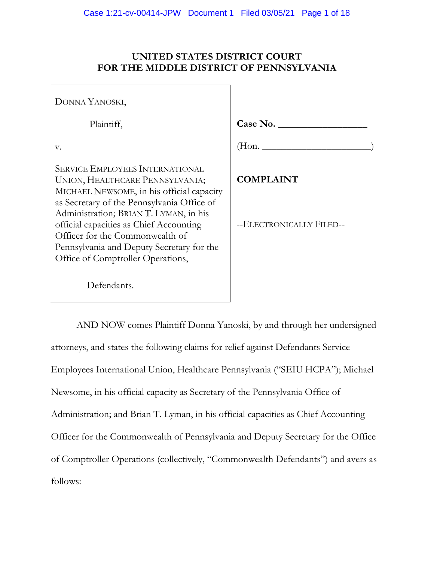# **UNITED STATES DISTRICT COURT FOR THE MIDDLE DISTRICT OF PENNSYLVANIA**

| DONNA YANOSKI,                                                                                                                                                                                                                                                                                                                                                                 |                                              |
|--------------------------------------------------------------------------------------------------------------------------------------------------------------------------------------------------------------------------------------------------------------------------------------------------------------------------------------------------------------------------------|----------------------------------------------|
| Plaintiff,                                                                                                                                                                                                                                                                                                                                                                     | Case No.                                     |
| V.                                                                                                                                                                                                                                                                                                                                                                             |                                              |
| <b>SERVICE EMPLOYEES INTERNATIONAL</b><br>UNION, HEALTHCARE PENNSYLVANIA;<br>MICHAEL NEWSOME, in his official capacity<br>as Secretary of the Pennsylvania Office of<br>Administration; BRIAN T. LYMAN, in his<br>official capacities as Chief Accounting<br>Officer for the Commonwealth of<br>Pennsylvania and Deputy Secretary for the<br>Office of Comptroller Operations, | <b>COMPLAINT</b><br>--ELECTRONICALLY FILED-- |
| Defendants.                                                                                                                                                                                                                                                                                                                                                                    |                                              |

AND NOW comes Plaintiff Donna Yanoski, by and through her undersigned attorneys, and states the following claims for relief against Defendants Service Employees International Union, Healthcare Pennsylvania ("SEIU HCPA"); Michael Newsome, in his official capacity as Secretary of the Pennsylvania Office of Administration; and Brian T. Lyman, in his official capacities as Chief Accounting Officer for the Commonwealth of Pennsylvania and Deputy Secretary for the Office of Comptroller Operations (collectively, "Commonwealth Defendants") and avers as follows: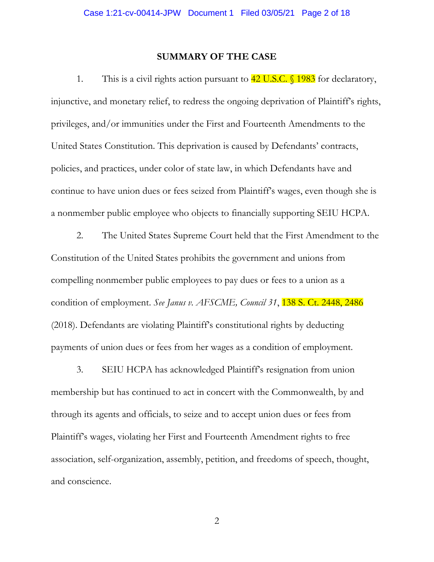# **SUMMARY OF THE CASE**

1. This is a civil rights action pursuant to  $42 \text{ U.S.C.}$  \$1983 for declaratory, injunctive, and monetary relief, to redress the ongoing deprivation of Plaintiff's rights, privileges, and/or immunities under the First and Fourteenth Amendments to the United States Constitution. This deprivation is caused by Defendants' contracts, policies, and practices, under color of state law, in which Defendants have and continue to have union dues or fees seized from Plaintiff's wages, even though she is a nonmember public employee who objects to financially supporting SEIU HCPA.

2. The United States Supreme Court held that the First Amendment to the Constitution of the United States prohibits the government and unions from compelling nonmember public employees to pay dues or fees to a union as a condition of employment. *See Janus v. AFSCME, Council 31*, 138 S. Ct. 2448, 2486 (2018). Defendants are violating Plaintiff's constitutional rights by deducting payments of union dues or fees from her wages as a condition of employment.

3. SEIU HCPA has acknowledged Plaintiff's resignation from union membership but has continued to act in concert with the Commonwealth, by and through its agents and officials, to seize and to accept union dues or fees from Plaintiff's wages, violating her First and Fourteenth Amendment rights to free association, self-organization, assembly, petition, and freedoms of speech, thought, and conscience.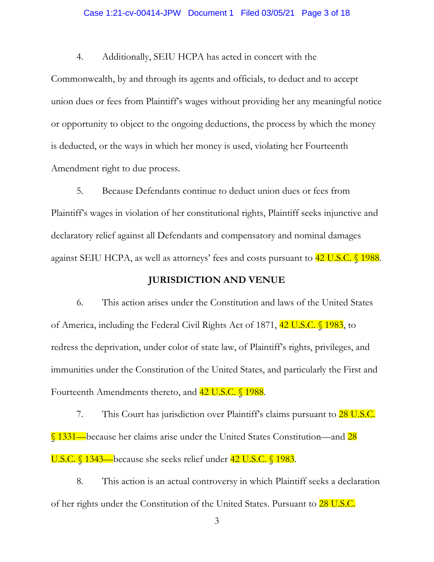#### Case 1:21-cv-00414-JPW Document 1 Filed 03/05/21 Page 3 of 18

4. Additionally, SEIU HCPA has acted in concert with the

Commonwealth, by and through its agents and officials, to deduct and to accept union dues or fees from Plaintiff's wages without providing her any meaningful notice or opportunity to object to the ongoing deductions, the process by which the money is deducted, or the ways in which her money is used, violating her Fourteenth Amendment right to due process.

5. Because Defendants continue to deduct union dues or fees from Plaintiff's wages in violation of her constitutional rights, Plaintiff seeks injunctive and declaratory relief against all Defendants and compensatory and nominal damages against SEIU HCPA, as well as attorneys' fees and costs pursuant to  $42 \text{ U.S.C.}$  1988.

### **JURISDICTION AND VENUE**

6. This action arises under the Constitution and laws of the United States of America, including the Federal Civil Rights Act of 1871, 42 U.S.C. § 1983, to redress the deprivation, under color of state law, of Plaintiff's rights, privileges, and immunities under the Constitution of the United States, and particularly the First and Fourteenth Amendments thereto, and 42 U.S.C. § 1988.

7. This Court has jurisdiction over Plaintiff's claims pursuant to **28 U.S.C.** § 1331—because her claims arise under the United States Constitution—and 28 U.S.C. § 1343—because she seeks relief under 42 U.S.C. § 1983.

8. This action is an actual controversy in which Plaintiff seeks a declaration of her rights under the Constitution of the United States. Pursuant to **28 U.S.C.**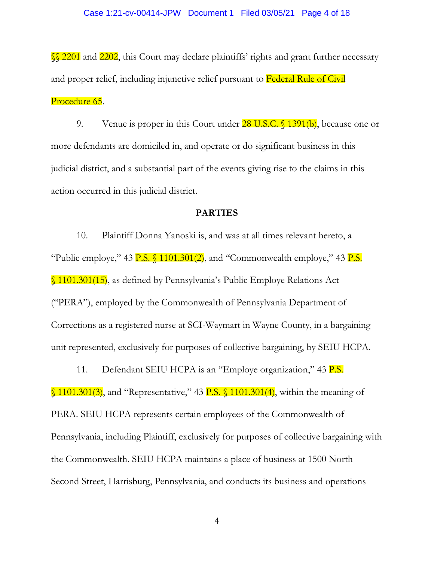§§ 2201 and 2202, this Court may declare plaintiffs' rights and grant further necessary and proper relief, including injunctive relief pursuant to Federal Rule of Civil Procedure 65.

9. Venue is proper in this Court under  $28 \text{ U.S.C. }$  \$1391(b), because one or more defendants are domiciled in, and operate or do significant business in this judicial district, and a substantial part of the events giving rise to the claims in this action occurred in this judicial district.

# **PARTIES**

10. Plaintiff Donna Yanoski is, and was at all times relevant hereto, a "Public employe," 43 P.S.  $\{(1101.301/2), \text{ and } \text{``Commonwealth employee,'' 43 P.S.''}\}$ § 1101.301(15), as defined by Pennsylvania's Public Employe Relations Act ("PERA"), employed by the Commonwealth of Pennsylvania Department of Corrections as a registered nurse at SCI-Waymart in Wayne County, in a bargaining unit represented, exclusively for purposes of collective bargaining, by SEIU HCPA.

11. Defendant SEIU HCPA is an "Employe organization," 43 P.S.

 $\S$  1101.301(3), and "Representative," 43 P.S.  $\S$  1101.301(4), within the meaning of PERA. SEIU HCPA represents certain employees of the Commonwealth of Pennsylvania, including Plaintiff, exclusively for purposes of collective bargaining with the Commonwealth. SEIU HCPA maintains a place of business at 1500 North Second Street, Harrisburg, Pennsylvania, and conducts its business and operations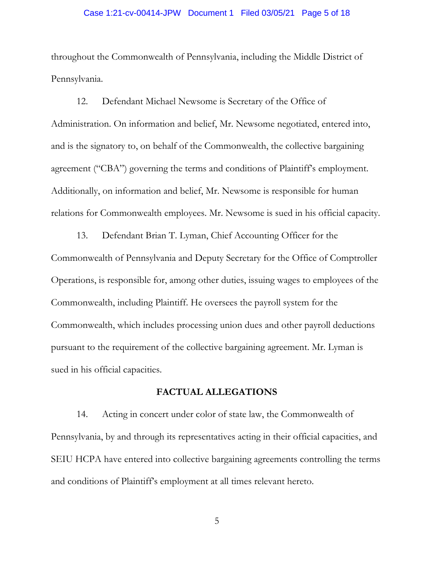#### Case 1:21-cv-00414-JPW Document 1 Filed 03/05/21 Page 5 of 18

throughout the Commonwealth of Pennsylvania, including the Middle District of Pennsylvania.

12. Defendant Michael Newsome is Secretary of the Office of Administration. On information and belief, Mr. Newsome negotiated, entered into, and is the signatory to, on behalf of the Commonwealth, the collective bargaining agreement ("CBA") governing the terms and conditions of Plaintiff's employment. Additionally, on information and belief, Mr. Newsome is responsible for human relations for Commonwealth employees. Mr. Newsome is sued in his official capacity.

13. Defendant Brian T. Lyman, Chief Accounting Officer for the Commonwealth of Pennsylvania and Deputy Secretary for the Office of Comptroller Operations, is responsible for, among other duties, issuing wages to employees of the Commonwealth, including Plaintiff. He oversees the payroll system for the Commonwealth, which includes processing union dues and other payroll deductions pursuant to the requirement of the collective bargaining agreement. Mr. Lyman is sued in his official capacities.

# **FACTUAL ALLEGATIONS**

14. Acting in concert under color of state law, the Commonwealth of Pennsylvania, by and through its representatives acting in their official capacities, and SEIU HCPA have entered into collective bargaining agreements controlling the terms and conditions of Plaintiff's employment at all times relevant hereto.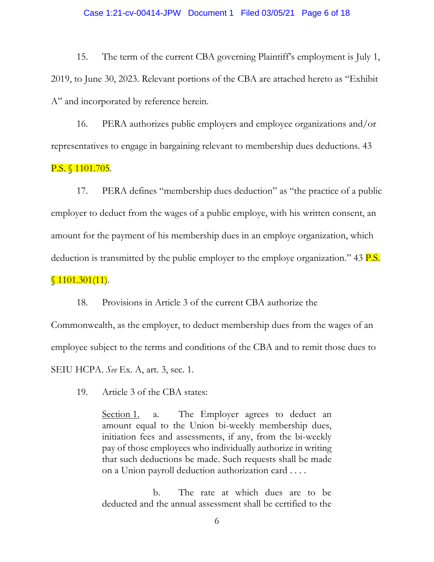#### Case 1:21-cv-00414-JPW Document 1 Filed 03/05/21 Page 6 of 18

15. The term of the current CBA governing Plaintiff's employment is July 1, 2019, to June 30, 2023. Relevant portions of the CBA are attached hereto as "Exhibit A" and incorporated by reference herein.

16. PERA authorizes public employers and employee organizations and/or representatives to engage in bargaining relevant to membership dues deductions. 43

# P.S. § 1101.705.

17. PERA defines "membership dues deduction" as "the practice of a public employer to deduct from the wages of a public employe, with his written consent, an amount for the payment of his membership dues in an employe organization, which deduction is transmitted by the public employer to the employe organization." 43  $P.S.$ 

# $$1101.301(11).$

18. Provisions in Article 3 of the current CBA authorize the

Commonwealth, as the employer, to deduct membership dues from the wages of an employee subject to the terms and conditions of the CBA and to remit those dues to SEIU HCPA. *See* Ex. A, art. 3, sec. 1.

19. Article 3 of the CBA states:

Section 1. a. The Employer agrees to deduct an amount equal to the Union bi-weekly membership dues, initiation fees and assessments, if any, from the bi-weekly pay of those employees who individually authorize in writing that such deductions be made. Such requests shall be made on a Union payroll deduction authorization card . . . .

b. The rate at which dues are to be deducted and the annual assessment shall be certified to the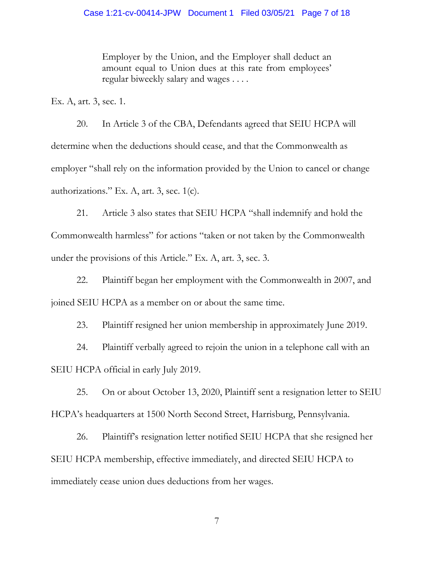Employer by the Union, and the Employer shall deduct an amount equal to Union dues at this rate from employees' regular biweekly salary and wages . . . .

Ex. A, art. 3, sec. 1.

20. In Article 3 of the CBA, Defendants agreed that SEIU HCPA will determine when the deductions should cease, and that the Commonwealth as employer "shall rely on the information provided by the Union to cancel or change authorizations." Ex. A, art. 3, sec.  $1(c)$ .

21. Article 3 also states that SEIU HCPA "shall indemnify and hold the Commonwealth harmless" for actions "taken or not taken by the Commonwealth under the provisions of this Article." Ex. A, art. 3, sec. 3.

22. Plaintiff began her employment with the Commonwealth in 2007, and joined SEIU HCPA as a member on or about the same time.

23. Plaintiff resigned her union membership in approximately June 2019.

24. Plaintiff verbally agreed to rejoin the union in a telephone call with an SEIU HCPA official in early July 2019.

25. On or about October 13, 2020, Plaintiff sent a resignation letter to SEIU HCPA's headquarters at 1500 North Second Street, Harrisburg, Pennsylvania.

26. Plaintiff's resignation letter notified SEIU HCPA that she resigned her SEIU HCPA membership, effective immediately, and directed SEIU HCPA to immediately cease union dues deductions from her wages.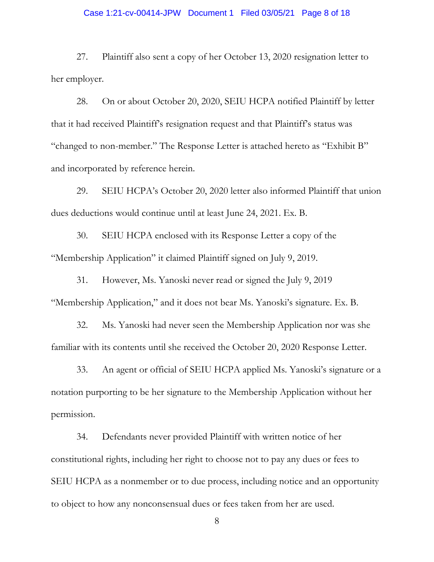#### Case 1:21-cv-00414-JPW Document 1 Filed 03/05/21 Page 8 of 18

27. Plaintiff also sent a copy of her October 13, 2020 resignation letter to her employer.

28. On or about October 20, 2020, SEIU HCPA notified Plaintiff by letter that it had received Plaintiff's resignation request and that Plaintiff's status was "changed to non-member." The Response Letter is attached hereto as "Exhibit B" and incorporated by reference herein.

29. SEIU HCPA's October 20, 2020 letter also informed Plaintiff that union dues deductions would continue until at least June 24, 2021. Ex. B.

30. SEIU HCPA enclosed with its Response Letter a copy of the "Membership Application" it claimed Plaintiff signed on July 9, 2019.

31. However, Ms. Yanoski never read or signed the July 9, 2019 "Membership Application," and it does not bear Ms. Yanoski's signature. Ex. B.

32. Ms. Yanoski had never seen the Membership Application nor was she familiar with its contents until she received the October 20, 2020 Response Letter.

33. An agent or official of SEIU HCPA applied Ms. Yanoski's signature or a notation purporting to be her signature to the Membership Application without her permission.

34. Defendants never provided Plaintiff with written notice of her constitutional rights, including her right to choose not to pay any dues or fees to SEIU HCPA as a nonmember or to due process, including notice and an opportunity to object to how any nonconsensual dues or fees taken from her are used.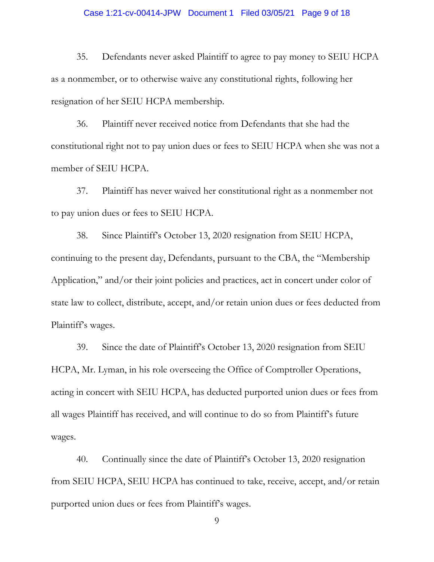#### Case 1:21-cv-00414-JPW Document 1 Filed 03/05/21 Page 9 of 18

35. Defendants never asked Plaintiff to agree to pay money to SEIU HCPA as a nonmember, or to otherwise waive any constitutional rights, following her resignation of her SEIU HCPA membership.

36. Plaintiff never received notice from Defendants that she had the constitutional right not to pay union dues or fees to SEIU HCPA when she was not a member of SEIU HCPA.

37. Plaintiff has never waived her constitutional right as a nonmember not to pay union dues or fees to SEIU HCPA.

38. Since Plaintiff's October 13, 2020 resignation from SEIU HCPA, continuing to the present day, Defendants, pursuant to the CBA, the "Membership Application," and/or their joint policies and practices, act in concert under color of state law to collect, distribute, accept, and/or retain union dues or fees deducted from Plaintiff's wages.

39. Since the date of Plaintiff's October 13, 2020 resignation from SEIU HCPA, Mr. Lyman, in his role overseeing the Office of Comptroller Operations, acting in concert with SEIU HCPA, has deducted purported union dues or fees from all wages Plaintiff has received, and will continue to do so from Plaintiff's future wages.

40. Continually since the date of Plaintiff's October 13, 2020 resignation from SEIU HCPA, SEIU HCPA has continued to take, receive, accept, and/or retain purported union dues or fees from Plaintiff's wages.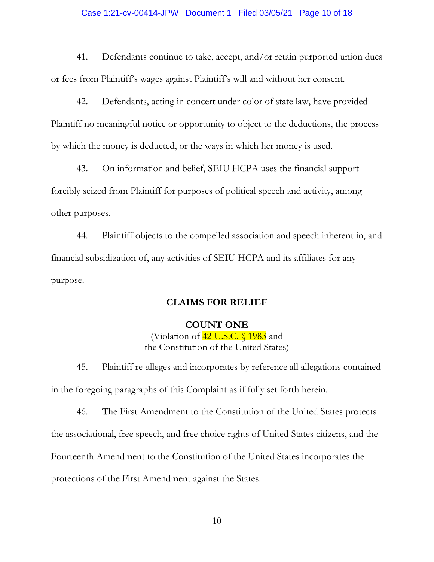#### Case 1:21-cv-00414-JPW Document 1 Filed 03/05/21 Page 10 of 18

41. Defendants continue to take, accept, and/or retain purported union dues or fees from Plaintiff's wages against Plaintiff's will and without her consent.

42. Defendants, acting in concert under color of state law, have provided Plaintiff no meaningful notice or opportunity to object to the deductions, the process by which the money is deducted, or the ways in which her money is used.

43. On information and belief, SEIU HCPA uses the financial support forcibly seized from Plaintiff for purposes of political speech and activity, among other purposes.

44. Plaintiff objects to the compelled association and speech inherent in, and financial subsidization of, any activities of SEIU HCPA and its affiliates for any purpose.

# **CLAIMS FOR RELIEF**

### **COUNT ONE**

(Violation of  $42$  U.S.C. § 1983 and the Constitution of the United States)

45. Plaintiff re-alleges and incorporates by reference all allegations contained in the foregoing paragraphs of this Complaint as if fully set forth herein.

46. The First Amendment to the Constitution of the United States protects the associational, free speech, and free choice rights of United States citizens, and the Fourteenth Amendment to the Constitution of the United States incorporates the protections of the First Amendment against the States.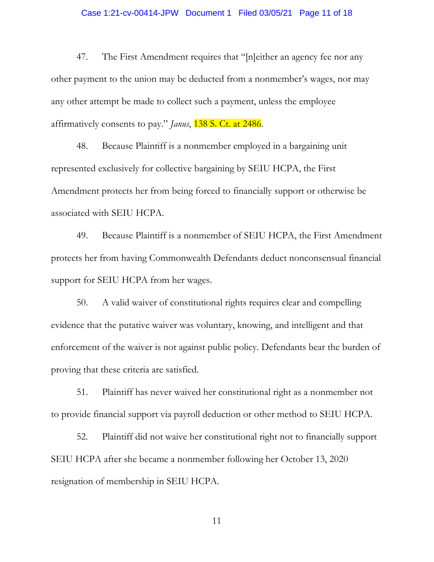#### Case 1:21-cv-00414-JPW Document 1 Filed 03/05/21 Page 11 of 18

47. The First Amendment requires that "[n]either an agency fee nor any other payment to the union may be deducted from a nonmember's wages, nor may any other attempt be made to collect such a payment, unless the employee affirmatively consents to pay." *Janus*, 138 S. Ct. at 2486.

48. Because Plaintiff is a nonmember employed in a bargaining unit represented exclusively for collective bargaining by SEIU HCPA, the First Amendment protects her from being forced to financially support or otherwise be associated with SEIU HCPA.

49. Because Plaintiff is a nonmember of SEIU HCPA, the First Amendment protects her from having Commonwealth Defendants deduct nonconsensual financial support for SEIU HCPA from her wages.

50. A valid waiver of constitutional rights requires clear and compelling evidence that the putative waiver was voluntary, knowing, and intelligent and that enforcement of the waiver is not against public policy. Defendants bear the burden of proving that these criteria are satisfied.

51. Plaintiff has never waived her constitutional right as a nonmember not to provide financial support via payroll deduction or other method to SEIU HCPA.

52. Plaintiff did not waive her constitutional right not to financially support SEIU HCPA after she became a nonmember following her October 13, 2020 resignation of membership in SEIU HCPA.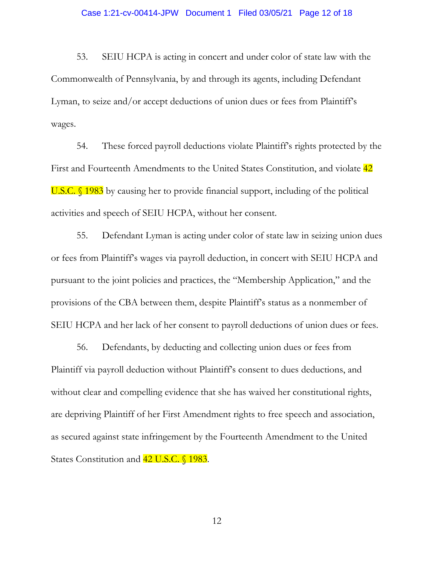53. SEIU HCPA is acting in concert and under color of state law with the Commonwealth of Pennsylvania, by and through its agents, including Defendant Lyman, to seize and/or accept deductions of union dues or fees from Plaintiff's wages.

54. These forced payroll deductions violate Plaintiff's rights protected by the First and Fourteenth Amendments to the United States Constitution, and violate  $\frac{42}{ }$ U.S.C. § 1983 by causing her to provide financial support, including of the political activities and speech of SEIU HCPA, without her consent.

55. Defendant Lyman is acting under color of state law in seizing union dues or fees from Plaintiff's wages via payroll deduction, in concert with SEIU HCPA and pursuant to the joint policies and practices, the "Membership Application," and the provisions of the CBA between them, despite Plaintiff's status as a nonmember of SEIU HCPA and her lack of her consent to payroll deductions of union dues or fees.

56. Defendants, by deducting and collecting union dues or fees from Plaintiff via payroll deduction without Plaintiff's consent to dues deductions, and without clear and compelling evidence that she has waived her constitutional rights, are depriving Plaintiff of her First Amendment rights to free speech and association, as secured against state infringement by the Fourteenth Amendment to the United States Constitution and 42 U.S.C. § 1983.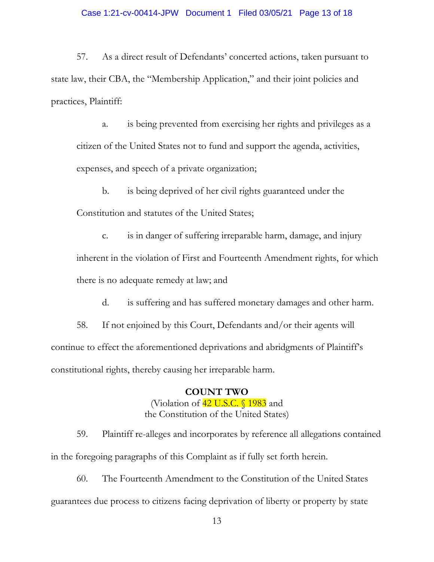57. As a direct result of Defendants' concerted actions, taken pursuant to state law, their CBA, the "Membership Application," and their joint policies and practices, Plaintiff:

a. is being prevented from exercising her rights and privileges as a citizen of the United States not to fund and support the agenda, activities, expenses, and speech of a private organization;

b. is being deprived of her civil rights guaranteed under the Constitution and statutes of the United States;

c. is in danger of suffering irreparable harm, damage, and injury inherent in the violation of First and Fourteenth Amendment rights, for which there is no adequate remedy at law; and

d. is suffering and has suffered monetary damages and other harm.

58. If not enjoined by this Court, Defendants and/or their agents will continue to effect the aforementioned deprivations and abridgments of Plaintiff's constitutional rights, thereby causing her irreparable harm.

# **COUNT TWO**

(Violation of  $42$  U.S.C.  $\sqrt{1983}$  and the Constitution of the United States)

59. Plaintiff re-alleges and incorporates by reference all allegations contained in the foregoing paragraphs of this Complaint as if fully set forth herein.

60. The Fourteenth Amendment to the Constitution of the United States guarantees due process to citizens facing deprivation of liberty or property by state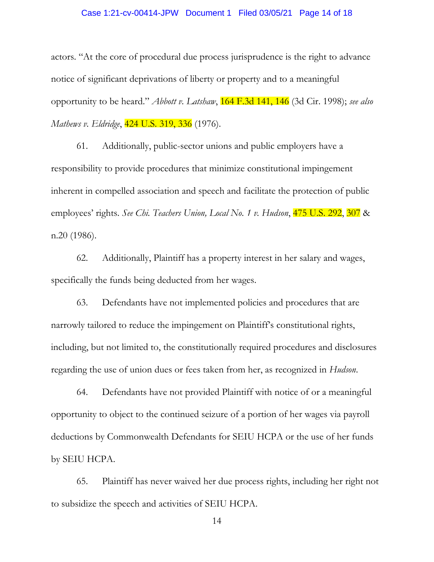#### Case 1:21-cv-00414-JPW Document 1 Filed 03/05/21 Page 14 of 18

actors. "At the core of procedural due process jurisprudence is the right to advance notice of significant deprivations of liberty or property and to a meaningful opportunity to be heard." *Abbott v. Latshaw*, 164 F.3d 141, 146 (3d Cir. 1998); *see also Mathews v. Eldridge*, 424 U.S. 319, 336 (1976).

61. Additionally, public-sector unions and public employers have a responsibility to provide procedures that minimize constitutional impingement inherent in compelled association and speech and facilitate the protection of public employees' rights. *See Chi. Teachers Union, Local No. 1 v. Hudson*, 475 U.S. 292, 307 & n.20 (1986).

62. Additionally, Plaintiff has a property interest in her salary and wages, specifically the funds being deducted from her wages.

63. Defendants have not implemented policies and procedures that are narrowly tailored to reduce the impingement on Plaintiff's constitutional rights, including, but not limited to, the constitutionally required procedures and disclosures regarding the use of union dues or fees taken from her, as recognized in *Hudson*.

64. Defendants have not provided Plaintiff with notice of or a meaningful opportunity to object to the continued seizure of a portion of her wages via payroll deductions by Commonwealth Defendants for SEIU HCPA or the use of her funds by SEIU HCPA.

65. Plaintiff has never waived her due process rights, including her right not to subsidize the speech and activities of SEIU HCPA.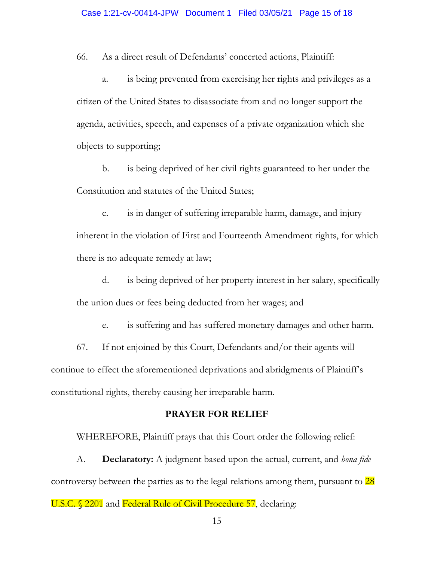66. As a direct result of Defendants' concerted actions, Plaintiff:

a. is being prevented from exercising her rights and privileges as a citizen of the United States to disassociate from and no longer support the agenda, activities, speech, and expenses of a private organization which she objects to supporting;

b. is being deprived of her civil rights guaranteed to her under the Constitution and statutes of the United States;

c. is in danger of suffering irreparable harm, damage, and injury inherent in the violation of First and Fourteenth Amendment rights, for which there is no adequate remedy at law;

d. is being deprived of her property interest in her salary, specifically the union dues or fees being deducted from her wages; and

e. is suffering and has suffered monetary damages and other harm.

67. If not enjoined by this Court, Defendants and/or their agents will continue to effect the aforementioned deprivations and abridgments of Plaintiff's constitutional rights, thereby causing her irreparable harm.

# **PRAYER FOR RELIEF**

WHEREFORE, Plaintiff prays that this Court order the following relief:

A. **Declaratory:** A judgment based upon the actual, current, and *bona fide* controversy between the parties as to the legal relations among them, pursuant to 28

U.S.C. § 2201 and Federal Rule of Civil Procedure 57, declaring: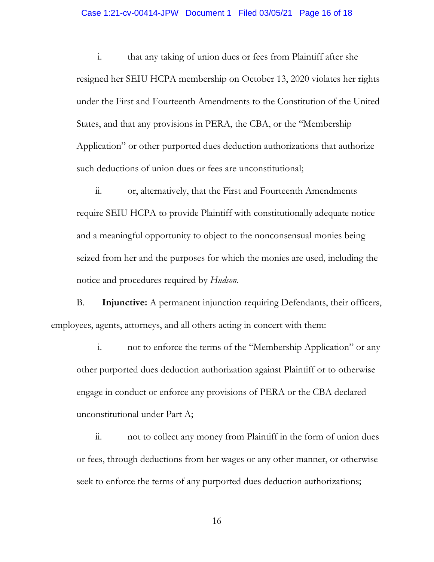#### Case 1:21-cv-00414-JPW Document 1 Filed 03/05/21 Page 16 of 18

i. that any taking of union dues or fees from Plaintiff after she resigned her SEIU HCPA membership on October 13, 2020 violates her rights under the First and Fourteenth Amendments to the Constitution of the United States, and that any provisions in PERA, the CBA, or the "Membership Application" or other purported dues deduction authorizations that authorize such deductions of union dues or fees are unconstitutional;

ii. or, alternatively, that the First and Fourteenth Amendments require SEIU HCPA to provide Plaintiff with constitutionally adequate notice and a meaningful opportunity to object to the nonconsensual monies being seized from her and the purposes for which the monies are used, including the notice and procedures required by *Hudson*.

B. **Injunctive:** A permanent injunction requiring Defendants, their officers, employees, agents, attorneys, and all others acting in concert with them:

i. not to enforce the terms of the "Membership Application" or any other purported dues deduction authorization against Plaintiff or to otherwise engage in conduct or enforce any provisions of PERA or the CBA declared unconstitutional under Part A;

ii. not to collect any money from Plaintiff in the form of union dues or fees, through deductions from her wages or any other manner, or otherwise seek to enforce the terms of any purported dues deduction authorizations;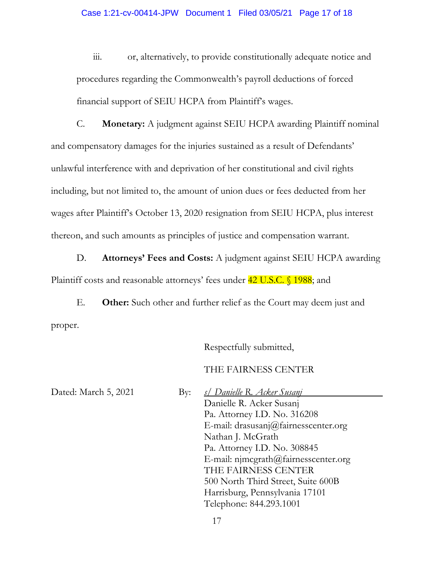iii. or, alternatively, to provide constitutionally adequate notice and procedures regarding the Commonwealth's payroll deductions of forced financial support of SEIU HCPA from Plaintiff's wages.

C. **Monetary:** A judgment against SEIU HCPA awarding Plaintiff nominal and compensatory damages for the injuries sustained as a result of Defendants' unlawful interference with and deprivation of her constitutional and civil rights including, but not limited to, the amount of union dues or fees deducted from her wages after Plaintiff's October 13, 2020 resignation from SEIU HCPA, plus interest thereon, and such amounts as principles of justice and compensation warrant.

D. **Attorneys' Fees and Costs:** A judgment against SEIU HCPA awarding Plaintiff costs and reasonable attorneys' fees under **42 U.S.C.** § 1988; and

E. **Other:** Such other and further relief as the Court may deem just and proper.

Respectfully submitted,

THE FAIRNESS CENTER

Dated: March 5, 2021 By: *s/ Danielle R. Acker Susanj* Danielle R. Acker Susanj Pa. Attorney I.D. No. 316208 E-mail: drasusanj@fairnesscenter.org Nathan J. McGrath Pa. Attorney I.D. No. 308845 E-mail: njmcgrath@fairnesscenter.org THE FAIRNESS CENTER 500 North Third Street, Suite 600B Harrisburg, Pennsylvania 17101 Telephone: 844.293.1001